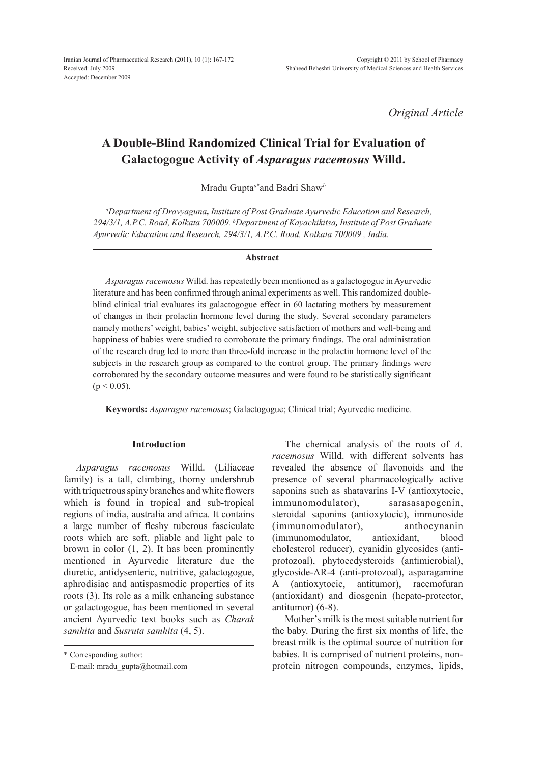*Original Article*

# **A Double-Blind Randomized Clinical Trial for Evaluation of Galactogogue Activity of** *Asparagus racemosus* **Willd.**

Mradu Gupta*<sup>a</sup>***\*** and Badri Shaw*<sup>b</sup>*

*a Department of Dravyaguna, Institute of Post Graduate Ayurvedic Education and Research, 294/3/1, A.P.C. Road, Kolkata 700009. b Department of Kayachikitsa, Institute of Post Graduate Ayurvedic Education and Research, 294/3/1, A.P.C. Road, Kolkata 700009 , India.*

#### **Abstract**

*Asparagus racemosus* Willd. has repeatedly been mentioned as a galactogogue in Ayurvedic literature and has been confirmed through animal experiments as well. This randomized doubleblind clinical trial evaluates its galactogogue effect in 60 lactating mothers by measurement of changes in their prolactin hormone level during the study. Several secondary parameters namely mothers' weight, babies' weight, subjective satisfaction of mothers and well-being and happiness of babies were studied to corroborate the primary findings. The oral administration of the research drug led to more than three-fold increase in the prolactin hormone level of the subjects in the research group as compared to the control group. The primary findings were corroborated by the secondary outcome measures and were found to be statistically significant  $(p < 0.05)$ .

**Keywords:** *Asparagus racemosus*; Galactogogue; Clinical trial; Ayurvedic medicine.

# **Introduction**

*Asparagus racemosus* Willd. (Liliaceae family) is a tall, climbing, thorny undershrub with triquetrous spiny branches and white flowers which is found in tropical and sub-tropical regions of india, australia and africa. It contains a large number of fleshy tuberous fasciculate roots which are soft, pliable and light pale to brown in color (1, 2). It has been prominently mentioned in Ayurvedic literature due the diuretic, antidysenteric, nutritive, galactogogue, aphrodisiac and antispasmodic properties of its roots (3). Its role as a milk enhancing substance or galactogogue, has been mentioned in several ancient Ayurvedic text books such as *Charak samhita* and *Susruta samhita* (4, 5).

\* Corresponding author:

E-mail: mradu\_gupta@hotmail.com

The chemical analysis of the roots of *A. racemosus* Willd. with different solvents has revealed the absence of flavonoids and the presence of several pharmacologically active saponins such as shatavarins I-V (antioxytocic, immunomodulator), sarasasapogenin, steroidal saponins (antioxytocic), immunoside (immunomodulator), anthocynanin (immunomodulator, antioxidant, blood cholesterol reducer), cyanidin glycosides (antiprotozoal), phytoecdysteroids (antimicrobial), glycoside-AR-4 (anti-protozoal), asparagamine A (antioxytocic, antitumor), racemofuran (antioxidant) and diosgenin (hepato-protector, antitumor) (6-8).

Mother's milk is the most suitable nutrient for the baby. During the first six months of life, the breast milk is the optimal source of nutrition for babies. It is comprised of nutrient proteins, nonprotein nitrogen compounds, enzymes, lipids,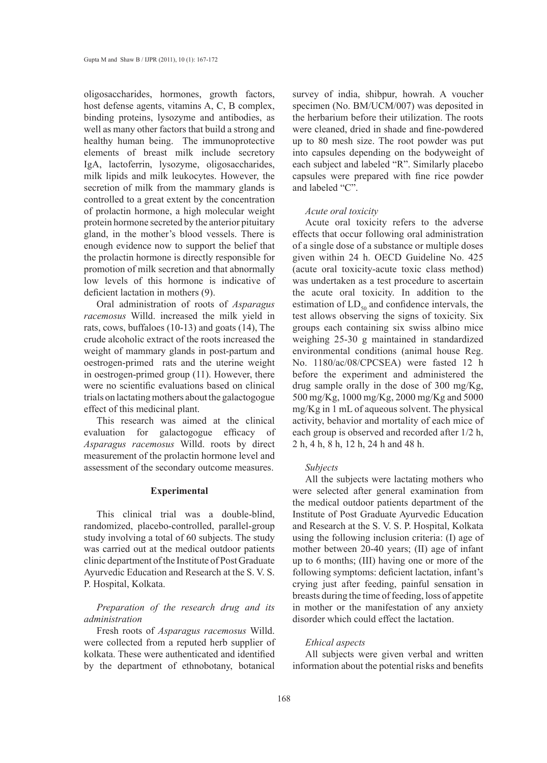oligosaccharides, hormones, growth factors, host defense agents, vitamins A, C, B complex, binding proteins, lysozyme and antibodies, as well as many other factors that build a strong and healthy human being. The immunoprotective elements of breast milk include secretory IgA, lactoferrin, lysozyme, oligosaccharides, milk lipids and milk leukocytes. However, the secretion of milk from the mammary glands is controlled to a great extent by the concentration of prolactin hormone, a high molecular weight protein hormone secreted by the anterior pituitary gland, in the mother's blood vessels. There is enough evidence now to support the belief that the prolactin hormone is directly responsible for promotion of milk secretion and that abnormally low levels of this hormone is indicative of deficient lactation in mothers (9).

Oral administration of roots of *Asparagus racemosus* Willd. increased the milk yield in rats, cows, buffaloes (10-13) and goats (14), The crude alcoholic extract of the roots increased the weight of mammary glands in post-partum and oestrogen-primed rats and the uterine weight in oestrogen-primed group (11). However, there were no scientific evaluations based on clinical trials on lactating mothers about the galactogogue effect of this medicinal plant.

This research was aimed at the clinical evaluation for galactogogue efficacy of *Asparagus racemosus* Willd. roots by direct measurement of the prolactin hormone level and assessment of the secondary outcome measures.

## **Experimental**

This clinical trial was a double-blind, randomized, placebo-controlled, parallel-group study involving a total of 60 subjects. The study was carried out at the medical outdoor patients clinic department of the Institute of Post Graduate Ayurvedic Education and Research at the S. V. S. P. Hospital, Kolkata.

*Preparation of the research drug and its administration*

Fresh roots of *Asparagus racemosus* Willd. were collected from a reputed herb supplier of kolkata. These were authenticated and identified by the department of ethnobotany, botanical

survey of india, shibpur, howrah. A voucher specimen (No. BM/UCM/007) was deposited in the herbarium before their utilization. The roots were cleaned, dried in shade and fine-powdered up to 80 mesh size. The root powder was put into capsules depending on the bodyweight of each subject and labeled "R". Similarly placebo capsules were prepared with fine rice powder and labeled "C".

#### *Acute oral toxicity*

Acute oral toxicity refers to the adverse effects that occur following oral administration of a single dose of a substance or multiple doses given within 24 h. OECD Guideline No. 425 (acute oral toxicity-acute toxic class method) was undertaken as a test procedure to ascertain the acute oral toxicity. In addition to the estimation of  $LD_{50}$  and confidence intervals, the test allows observing the signs of toxicity. Six groups each containing six swiss albino mice weighing 25-30 g maintained in standardized environmental conditions (animal house Reg. No. 1180/ac/08/CPCSEA) were fasted 12 h before the experiment and administered the drug sample orally in the dose of 300 mg/Kg, 500 mg/Kg, 1000 mg/Kg, 2000 mg/Kg and 5000 mg/Kg in 1 mL of aqueous solvent. The physical activity, behavior and mortality of each mice of each group is observed and recorded after 1/2 h, 2 h, 4 h, 8 h, 12 h, 24 h and 48 h.

#### *Subjects*

All the subjects were lactating mothers who were selected after general examination from the medical outdoor patients department of the Institute of Post Graduate Ayurvedic Education and Research at the S. V. S. P. Hospital, Kolkata using the following inclusion criteria: (I) age of mother between 20-40 years; (II) age of infant up to 6 months; (III) having one or more of the following symptoms: deficient lactation, infant's crying just after feeding, painful sensation in breasts during the time of feeding, loss of appetite in mother or the manifestation of any anxiety disorder which could effect the lactation.

#### *Ethical aspects*

All subjects were given verbal and written information about the potential risks and benefits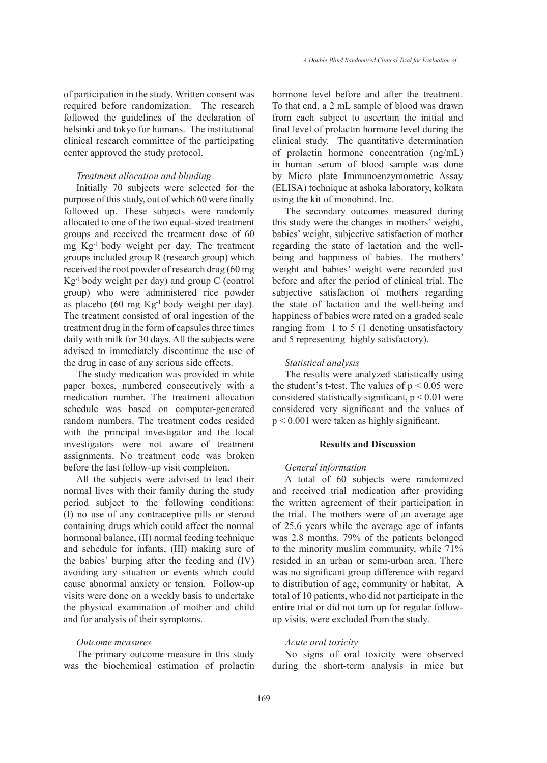of participation in the study. Written consent was required before randomization. The research followed the guidelines of the declaration of helsinki and tokyo for humans. The institutional clinical research committee of the participating center approved the study protocol.

## *Treatment allocation and blinding*

Initially 70 subjects were selected for the purpose of this study, out of which 60 were finally followed up. These subjects were randomly allocated to one of the two equal-sized treatment groups and received the treatment dose of 60 mg Kg-1 body weight per day. The treatment groups included group R (research group) which received the root powder of research drug (60 mg Kg-1 body weight per day) and group C (control group) who were administered rice powder as placebo (60 mg Kg-1 body weight per day). The treatment consisted of oral ingestion of the treatment drug in the form of capsules three times daily with milk for 30 days. All the subjects were advised to immediately discontinue the use of the drug in case of any serious side effects.

The study medication was provided in white paper boxes, numbered consecutively with a medication number. The treatment allocation schedule was based on computer-generated random numbers. The treatment codes resided with the principal investigator and the local investigators were not aware of treatment assignments. No treatment code was broken before the last follow-up visit completion.

All the subjects were advised to lead their normal lives with their family during the study period subject to the following conditions: (I) no use of any contraceptive pills or steroid containing drugs which could affect the normal hormonal balance, (II) normal feeding technique and schedule for infants, (III) making sure of the babies' burping after the feeding and (IV) avoiding any situation or events which could cause abnormal anxiety or tension. Follow-up visits were done on a weekly basis to undertake the physical examination of mother and child and for analysis of their symptoms.

#### *Outcome measures*

The primary outcome measure in this study was the biochemical estimation of prolactin hormone level before and after the treatment. To that end, a 2 mL sample of blood was drawn from each subject to ascertain the initial and final level of prolactin hormone level during the clinical study. The quantitative determination of prolactin hormone concentration (ng/mL) in human serum of blood sample was done by Micro plate Immunoenzymometric Assay (ELISA) technique at ashoka laboratory, kolkata using the kit of monobind. Inc.

The secondary outcomes measured during this study were the changes in mothers' weight, babies' weight, subjective satisfaction of mother regarding the state of lactation and the wellbeing and happiness of babies. The mothers' weight and babies' weight were recorded just before and after the period of clinical trial. The subjective satisfaction of mothers regarding the state of lactation and the well-being and happiness of babies were rated on a graded scale ranging from 1 to 5 (1 denoting unsatisfactory and 5 representing highly satisfactory).

#### *Statistical analysis*

The results were analyzed statistically using the student's t-test. The values of  $p < 0.05$  were considered statistically significant, p < 0.01 were considered very significant and the values of p < 0.001 were taken as highly significant.

# **Results and Discussion**

## *General information*

A total of 60 subjects were randomized and received trial medication after providing the written agreement of their participation in the trial. The mothers were of an average age of 25.6 years while the average age of infants was 2.8 months. 79% of the patients belonged to the minority muslim community, while 71% resided in an urban or semi-urban area. There was no significant group difference with regard to distribution of age, community or habitat. A total of 10 patients, who did not participate in the entire trial or did not turn up for regular followup visits, were excluded from the study.

#### *Acute oral toxicity*

No signs of oral toxicity were observed during the short-term analysis in mice but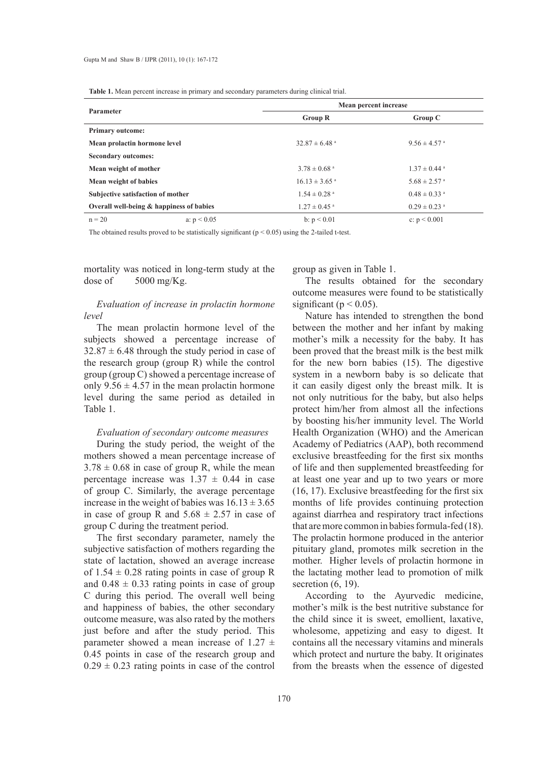**Table 1.** Mean percent increase in primary and secondary parameters during clinical trial.

| Parameter                                | Mean percent increase         |                              |
|------------------------------------------|-------------------------------|------------------------------|
|                                          | <b>Group R</b>                | Group C                      |
| <b>Primary outcome:</b>                  |                               |                              |
| Mean prolactin hormone level             | $32.87 \pm 6.48$ <sup>a</sup> | $9.56 \pm 4.57$ <sup>a</sup> |
| <b>Secondary outcomes:</b>               |                               |                              |
| Mean weight of mother                    | $3.78 \pm 0.68$ <sup>a</sup>  | $1.37 \pm 0.44$ <sup>a</sup> |
| Mean weight of babies                    | $16.13 \pm 3.65$ <sup>a</sup> | $5.68 \pm 2.57$ <sup>a</sup> |
| Subjective satisfaction of mother        | $1.54 \pm 0.28$ <sup>a</sup>  | $0.48 \pm 0.33$ <sup>a</sup> |
| Overall well-being & happiness of babies | $1.27 \pm 0.45$ <sup>a</sup>  | $0.29 \pm 0.23$ <sup>a</sup> |
| $n = 20$<br>a: $p < 0.05$                | b: $p < 0.01$                 | c: $p < 0.001$               |

The obtained results proved to be statistically significant  $(p < 0.05)$  using the 2-tailed t-test.

mortality was noticed in long-term study at the dose of  $5000 \text{ mg/Kg}$ .

# *Evaluation of increase in prolactin hormone level*

The mean prolactin hormone level of the subjects showed a percentage increase of  $32.87 \pm 6.48$  through the study period in case of the research group (group R) while the control group (group C) showed a percentage increase of only  $9.56 \pm 4.57$  in the mean prolactin hormone level during the same period as detailed in Table 1.

## *Evaluation of secondary outcome measures*

During the study period, the weight of the mothers showed a mean percentage increase of  $3.78 \pm 0.68$  in case of group R, while the mean percentage increase was  $1.37 \pm 0.44$  in case of group C. Similarly, the average percentage increase in the weight of babies was  $16.13 \pm 3.65$ in case of group R and  $5.68 \pm 2.57$  in case of group C during the treatment period.

The first secondary parameter, namely the subjective satisfaction of mothers regarding the state of lactation, showed an average increase of  $1.54 \pm 0.28$  rating points in case of group R and  $0.48 \pm 0.33$  rating points in case of group C during this period. The overall well being and happiness of babies, the other secondary outcome measure, was also rated by the mothers just before and after the study period. This parameter showed a mean increase of  $1.27 \pm$ 0.45 points in case of the research group and  $0.29 \pm 0.23$  rating points in case of the control

group as given in Table 1.

The results obtained for the secondary outcome measures were found to be statistically significant ( $p < 0.05$ ).

Nature has intended to strengthen the bond between the mother and her infant by making mother's milk a necessity for the baby. It has been proved that the breast milk is the best milk for the new born babies (15). The digestive system in a newborn baby is so delicate that it can easily digest only the breast milk. It is not only nutritious for the baby, but also helps protect him/her from almost all the infections by boosting his/her immunity level. The World Health Organization (WHO) and the American Academy of Pediatrics (AAP), both recommend exclusive breastfeeding for the first six months of life and then supplemented breastfeeding for at least one year and up to two years or more (16, 17). Exclusive breastfeeding for the first six months of life provides continuing protection against diarrhea and respiratory tract infections that are more common in babies formula-fed (18). The prolactin hormone produced in the anterior pituitary gland, promotes milk secretion in the mother. Higher levels of prolactin hormone in the lactating mother lead to promotion of milk secretion  $(6, 19)$ .

According to the Ayurvedic medicine, mother's milk is the best nutritive substance for the child since it is sweet, emollient, laxative, wholesome, appetizing and easy to digest. It contains all the necessary vitamins and minerals which protect and nurture the baby. It originates from the breasts when the essence of digested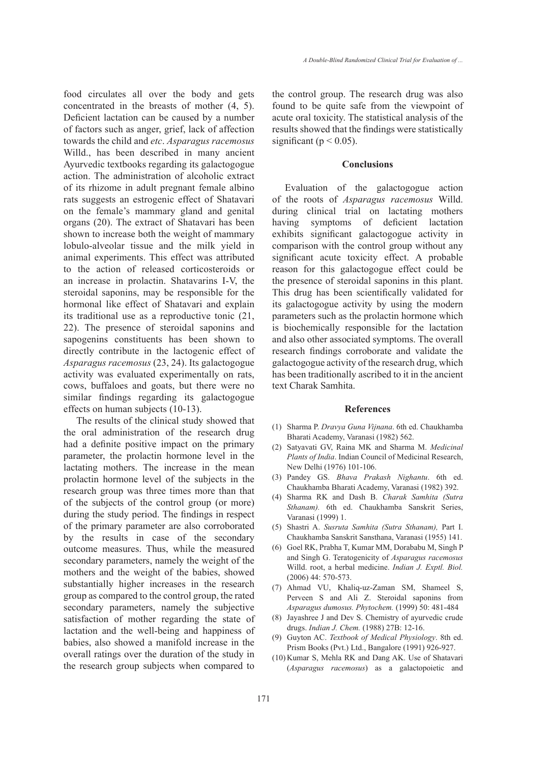food circulates all over the body and gets concentrated in the breasts of mother (4, 5). Deficient lactation can be caused by a number of factors such as anger, grief, lack of affection towards the child and *etc*. *Asparagus racemosus* Willd., has been described in many ancient Ayurvedic textbooks regarding its galactogogue action. The administration of alcoholic extract of its rhizome in adult pregnant female albino rats suggests an estrogenic effect of Shatavari on the female's mammary gland and genital organs (20). The extract of Shatavari has been shown to increase both the weight of mammary lobulo-alveolar tissue and the milk yield in animal experiments. This effect was attributed to the action of released corticosteroids or an increase in prolactin. Shatavarins I-V, the steroidal saponins, may be responsible for the hormonal like effect of Shatavari and explain its traditional use as a reproductive tonic (21, 22). The presence of steroidal saponins and sapogenins constituents has been shown to directly contribute in the lactogenic effect of *Asparagus racemosus* (23, 24). Its galactogogue activity was evaluated experimentally on rats, cows, buffaloes and goats, but there were no similar findings regarding its galactogogue effects on human subjects (10-13).

The results of the clinical study showed that the oral administration of the research drug had a definite positive impact on the primary parameter, the prolactin hormone level in the lactating mothers. The increase in the mean prolactin hormone level of the subjects in the research group was three times more than that of the subjects of the control group (or more) during the study period. The findings in respect of the primary parameter are also corroborated by the results in case of the secondary outcome measures. Thus, while the measured secondary parameters, namely the weight of the mothers and the weight of the babies, showed substantially higher increases in the research group as compared to the control group, the rated secondary parameters, namely the subjective satisfaction of mother regarding the state of lactation and the well-being and happiness of babies, also showed a manifold increase in the overall ratings over the duration of the study in the research group subjects when compared to the control group. The research drug was also found to be quite safe from the viewpoint of acute oral toxicity. The statistical analysis of the results showed that the findings were statistically significant ( $p < 0.05$ ).

## **Conclusions**

Evaluation of the galactogogue action of the roots of *Asparagus racemosus* Willd. during clinical trial on lactating mothers having symptoms of deficient lactation exhibits significant galactogogue activity in comparison with the control group without any significant acute toxicity effect. A probable reason for this galactogogue effect could be the presence of steroidal saponins in this plant. This drug has been scientifically validated for its galactogogue activity by using the modern parameters such as the prolactin hormone which is biochemically responsible for the lactation and also other associated symptoms. The overall research findings corroborate and validate the galactogogue activity of the research drug, which has been traditionally ascribed to it in the ancient text Charak Samhita.

#### **References**

- Sharma P. *Dravya Guna Vijnana*. 6th ed. Chaukhamba (1) Bharati Academy, Varanasi (1982) 562.
- Satyavati GV, Raina MK and Sharma M. *Medicinal Plants of India*. Indian Council of Medicinal Research, New Delhi (1976) 101-106. (2)
- Pandey GS. *Bhava Prakash Nighantu*. 6th ed. (3) Chaukhamba Bharati Academy, Varanasi (1982) 392.
- Sharma RK and Dash B. *Charak Samhita (Sutra*  (4) *Sthanam).* 6th ed. Chaukhamba Sanskrit Series, Varanasi (1999) 1.
- Shastri A. *Susruta Samhita (Sutra Sthanam),* Part I. (5) Chaukhamba Sanskrit Sansthana, Varanasi (1955) 141.
- (6) Goel RK, Prabha T, Kumar MM, Dorababu M, Singh P and Singh G. Teratogenicity of *Asparagus racemosus* Willd. root, a herbal medicine. *Indian J. Exptl. Biol.* (2006) 44: 570-573.
- Ahmad VU, Khaliq-uz-Zaman SM, Shameel S, (7) Perveen S and Ali Z. Steroidal saponins from *Asparagus dumosus. Phytochem.* (1999) 50: 481-484
- (8) Jayashree J and Dev S. Chemistry of ayurvedic crude drugs. *Indian J. Chem.* (1988) 27B: 12-16.
- Guyton AC. *Textbook of Medical Physiology*. 8th ed. (9) Prism Books (Pvt.) Ltd., Bangalore (1991) 926-927.
- (10) Kumar S, Mehla RK and Dang AK. Use of Shatavari (*Asparagus racemosus*) as a galactopoietic and